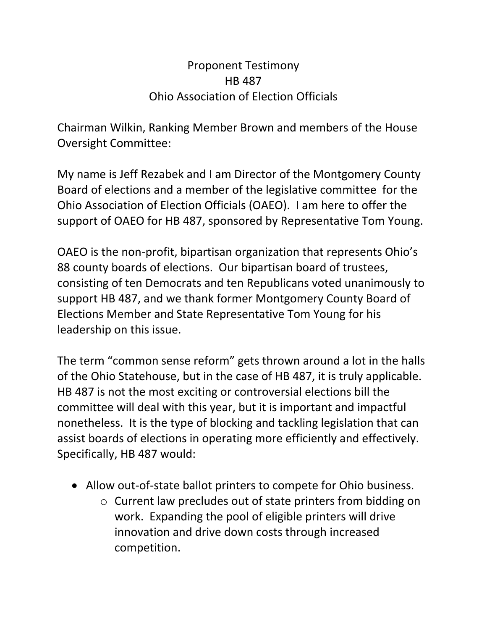## Proponent Testimony HB 487 Ohio Association of Election Officials

Chairman Wilkin, Ranking Member Brown and members of the House Oversight Committee:

My name is Jeff Rezabek and I am Director of the Montgomery County Board of elections and a member of the legislative committee for the Ohio Association of Election Officials (OAEO). I am here to offer the support of OAEO for HB 487, sponsored by Representative Tom Young.

OAEO is the non-profit, bipartisan organization that represents Ohio's 88 county boards of elections. Our bipartisan board of trustees, consisting of ten Democrats and ten Republicans voted unanimously to support HB 487, and we thank former Montgomery County Board of Elections Member and State Representative Tom Young for his leadership on this issue.

The term "common sense reform" gets thrown around a lot in the halls of the Ohio Statehouse, but in the case of HB 487, it is truly applicable. HB 487 is not the most exciting or controversial elections bill the committee will deal with this year, but it is important and impactful nonetheless. It is the type of blocking and tackling legislation that can assist boards of elections in operating more efficiently and effectively. Specifically, HB 487 would:

- Allow out-of-state ballot printers to compete for Ohio business.
	- o Current law precludes out of state printers from bidding on work. Expanding the pool of eligible printers will drive innovation and drive down costs through increased competition.